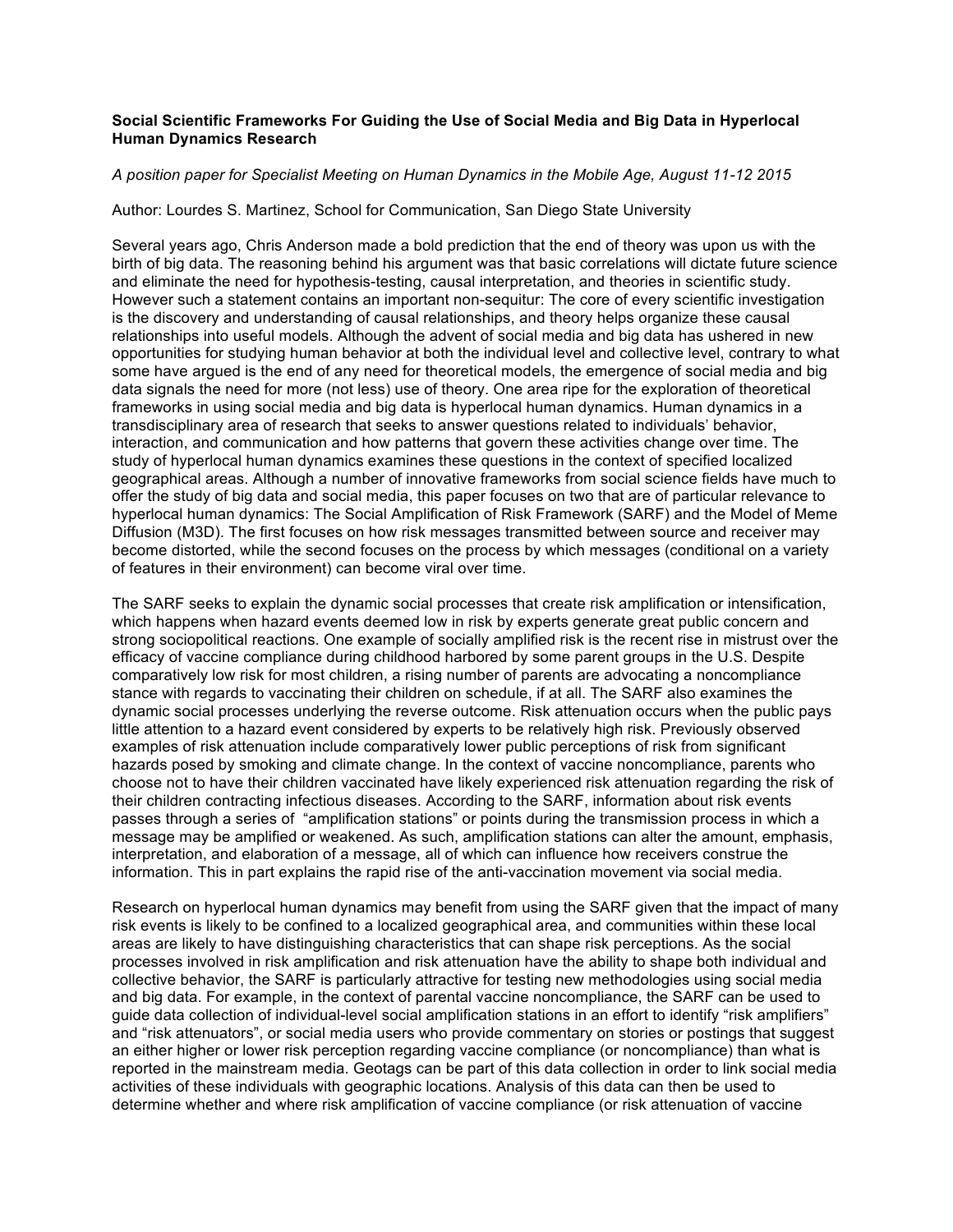## **Social Scientific Frameworks For Guiding the Use of Social Media and Big Data in Hyperlocal Human Dynamics Research**

## *A position paper for Specialist Meeting on Human Dynamics in the Mobile Age, August 11-12 2015*

Author: Lourdes S. Martinez, School for Communication, San Diego State University

Several years ago, Chris Anderson made a bold prediction that the end of theory was upon us with the birth of big data. The reasoning behind his argument was that basic correlations will dictate future science and eliminate the need for hypothesis-testing, causal interpretation, and theories in scientific study. However such a statement contains an important non-sequitur: The core of every scientific investigation is the discovery and understanding of causal relationships, and theory helps organize these causal relationships into useful models. Although the advent of social media and big data has ushered in new opportunities for studying human behavior at both the individual level and collective level, contrary to what some have argued is the end of any need for theoretical models, the emergence of social media and big data signals the need for more (not less) use of theory. One area ripe for the exploration of theoretical frameworks in using social media and big data is hyperlocal human dynamics. Human dynamics in a transdisciplinary area of research that seeks to answer questions related to individuals' behavior, interaction, and communication and how patterns that govern these activities change over time. The study of hyperlocal human dynamics examines these questions in the context of specified localized geographical areas. Although a number of innovative frameworks from social science fields have much to offer the study of big data and social media, this paper focuses on two that are of particular relevance to hyperlocal human dynamics: The Social Amplification of Risk Framework (SARF) and the Model of Meme Diffusion (M3D). The first focuses on how risk messages transmitted between source and receiver may become distorted, while the second focuses on the process by which messages (conditional on a variety of features in their environment) can become viral over time.

The SARF seeks to explain the dynamic social processes that create risk amplification or intensification, which happens when hazard events deemed low in risk by experts generate great public concern and strong sociopolitical reactions. One example of socially amplified risk is the recent rise in mistrust over the efficacy of vaccine compliance during childhood harbored by some parent groups in the U.S. Despite comparatively low risk for most children, a rising number of parents are advocating a noncompliance stance with regards to vaccinating their children on schedule, if at all. The SARF also examines the dynamic social processes underlying the reverse outcome. Risk attenuation occurs when the public pays little attention to a hazard event considered by experts to be relatively high risk. Previously observed examples of risk attenuation include comparatively lower public perceptions of risk from significant hazards posed by smoking and climate change. In the context of vaccine noncompliance, parents who choose not to have their children vaccinated have likely experienced risk attenuation regarding the risk of their children contracting infectious diseases. According to the SARF, information about risk events passes through a series of "amplification stations" or points during the transmission process in which a message may be amplified or weakened. As such, amplification stations can alter the amount, emphasis, interpretation, and elaboration of a message, all of which can influence how receivers construe the information. This in part explains the rapid rise of the anti-vaccination movement via social media.

Research on hyperlocal human dynamics may benefit from using the SARF given that the impact of many risk events is likely to be confined to a localized geographical area, and communities within these local areas are likely to have distinguishing characteristics that can shape risk perceptions. As the social processes involved in risk amplification and risk attenuation have the ability to shape both individual and collective behavior, the SARF is particularly attractive for testing new methodologies using social media and big data. For example, in the context of parental vaccine noncompliance, the SARF can be used to guide data collection of individual-level social amplification stations in an effort to identify "risk amplifiers" and "risk attenuators", or social media users who provide commentary on stories or postings that suggest an either higher or lower risk perception regarding vaccine compliance (or noncompliance) than what is reported in the mainstream media. Geotags can be part of this data collection in order to link social media activities of these individuals with geographic locations. Analysis of this data can then be used to determine whether and where risk amplification of vaccine compliance (or risk attenuation of vaccine